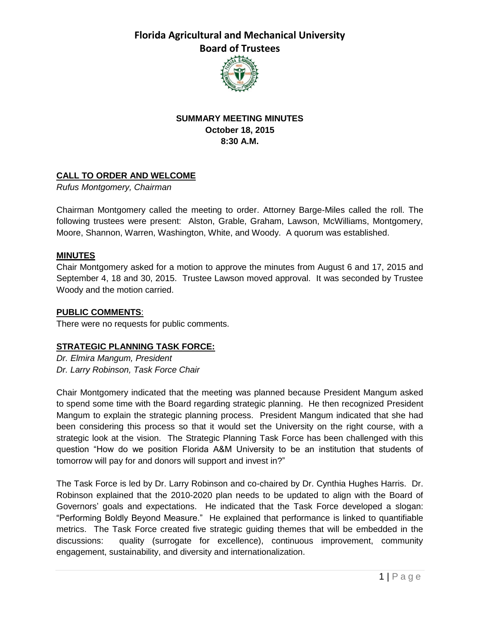**Florida Agricultural and Mechanical University Board of Trustees**



## **SUMMARY MEETING MINUTES October 18, 2015 8:30 A.M.**

## **CALL TO ORDER AND WELCOME**

*Rufus Montgomery, Chairman*

Chairman Montgomery called the meeting to order. Attorney Barge-Miles called the roll. The following trustees were present: Alston, Grable, Graham, Lawson, McWilliams, Montgomery, Moore, Shannon, Warren, Washington, White, and Woody. A quorum was established.

#### **MINUTES**

Chair Montgomery asked for a motion to approve the minutes from August 6 and 17, 2015 and September 4, 18 and 30, 2015. Trustee Lawson moved approval. It was seconded by Trustee Woody and the motion carried.

#### **PUBLIC COMMENTS**:

There were no requests for public comments.

### **STRATEGIC PLANNING TASK FORCE:**

*Dr. Elmira Mangum, President Dr. Larry Robinson, Task Force Chair*

Chair Montgomery indicated that the meeting was planned because President Mangum asked to spend some time with the Board regarding strategic planning. He then recognized President Mangum to explain the strategic planning process. President Mangum indicated that she had been considering this process so that it would set the University on the right course, with a strategic look at the vision. The Strategic Planning Task Force has been challenged with this question "How do we position Florida A&M University to be an institution that students of tomorrow will pay for and donors will support and invest in?"

The Task Force is led by Dr. Larry Robinson and co-chaired by Dr. Cynthia Hughes Harris. Dr. Robinson explained that the 2010-2020 plan needs to be updated to align with the Board of Governors' goals and expectations. He indicated that the Task Force developed a slogan: "Performing Boldly Beyond Measure." He explained that performance is linked to quantifiable metrics. The Task Force created five strategic guiding themes that will be embedded in the discussions: quality (surrogate for excellence), continuous improvement, community engagement, sustainability, and diversity and internationalization.